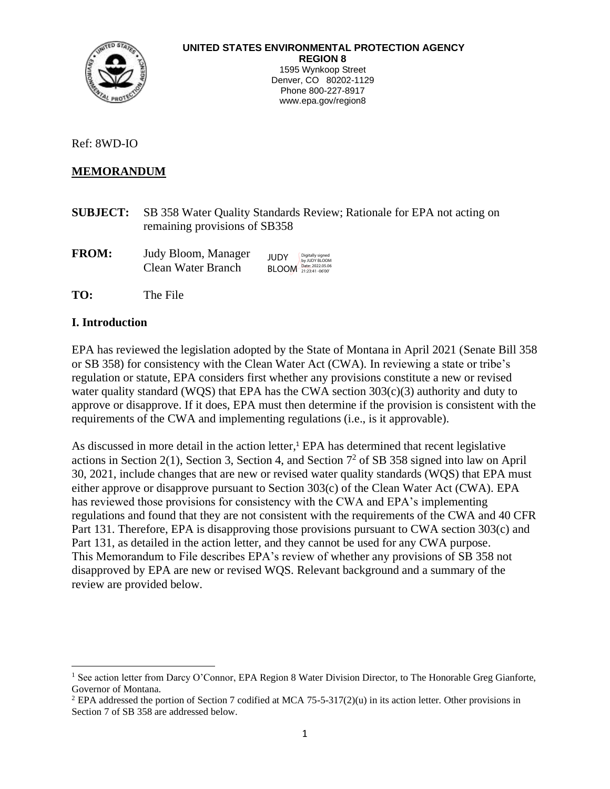

Ref: 8WD-IO

#### **MEMORANDUM**

- **SUBJECT:** SB 358 Water Quality Standards Review; Rationale for EPA not acting on remaining provisions of SB358
- **FROM:** Judy Bloom, Manager Clean Water Branch JUDY BLOOM Date: 2022.05.06 Digitally signed by JUDY BLOOM
- **TO:** The File

#### **I. Introduction**

EPA has reviewed the legislation adopted by the State of Montana in April 2021 (Senate Bill 358 or SB 358) for consistency with the Clean Water Act (CWA). In reviewing a state or tribe's regulation or statute, EPA considers first whether any provisions constitute a new or revised water quality standard (WQS) that EPA has the CWA section 303(c)(3) authority and duty to approve or disapprove. If it does, EPA must then determine if the provision is consistent with the requirements of the CWA and implementing regulations (i.e., is it approvable).

As discussed in more detail in the action letter,<sup>1</sup> EPA has determined that recent legislative actions in Section 2(1), Section 3, Section 4, and Section  $7<sup>2</sup>$  of SB 358 signed into law on April 30, 2021, include changes that are new or revised water quality standards (WQS) that EPA must either approve or disapprove pursuant to Section 303(c) of the Clean Water Act (CWA). EPA has reviewed those provisions for consistency with the CWA and EPA's implementing regulations and found that they are not consistent with the requirements of the CWA and 40 CFR Part 131. Therefore, EPA is disapproving those provisions pursuant to CWA section 303(c) and Part 131, as detailed in the action letter, and they cannot be used for any CWA purpose. This Memorandum to File describes EPA's review of whether any provisions of SB 358 not disapproved by EPA are new or revised WQS. Relevant background and a summary of the review are provided below.

<sup>&</sup>lt;sup>1</sup> See action letter from Darcy O'Connor, EPA Region 8 Water Division Director, to The Honorable Greg Gianforte, Governor of Montana.

 $2$  EPA addressed the portion of Section 7 codified at MCA 75-5-317(2)(u) in its action letter. Other provisions in Section 7 of SB 358 are addressed below.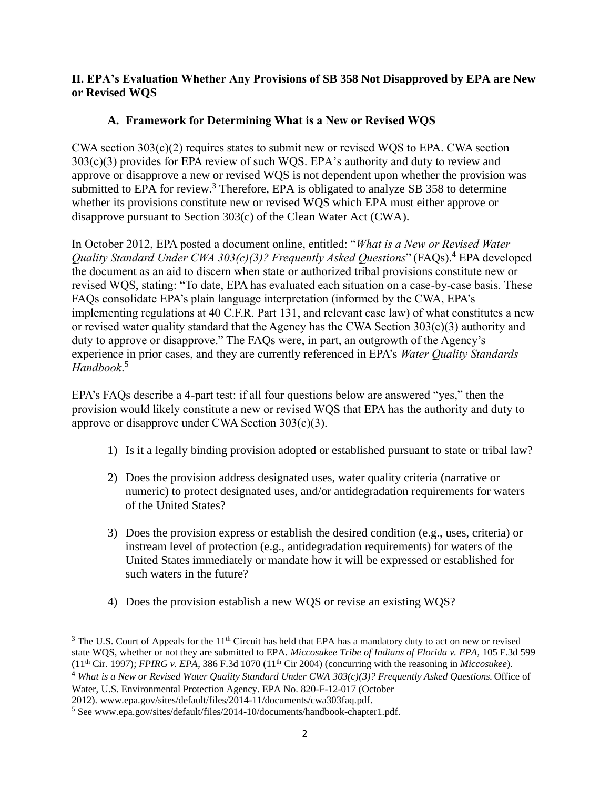## **II. EPA's Evaluation Whether Any Provisions of SB 358 Not Disapproved by EPA are New or Revised WQS**

# **A. Framework for Determining What is a New or Revised WQS**

CWA section 303(c)(2) requires states to submit new or revised WQS to EPA. CWA section 303(c)(3) provides for EPA review of such WQS. EPA's authority and duty to review and approve or disapprove a new or revised WQS is not dependent upon whether the provision was submitted to EPA for review.<sup>3</sup> Therefore, EPA is obligated to analyze SB 358 to determine whether its provisions constitute new or revised WQS which EPA must either approve or disapprove pursuant to Section 303(c) of the Clean Water Act (CWA).

In October 2012, EPA posted a document online, entitled: "*What is a New or Revised Water Quality Standard Under CWA 303(c)(3)? Frequently Asked Questions*" (FAQs).<sup>4</sup> EPA developed the document as an aid to discern when state or authorized tribal provisions constitute new or revised WQS, stating: "To date, EPA has evaluated each situation on a case-by-case basis. These FAQs consolidate EPA's plain language interpretation (informed by the CWA, EPA's implementing regulations at 40 C.F.R. Part 131, and relevant case law) of what constitutes a new or revised water quality standard that the Agency has the CWA Section 303(c)(3) authority and duty to approve or disapprove." The FAQs were, in part, an outgrowth of the Agency's experience in prior cases, and they are currently referenced in EPA's *Water Quality Standards Handbook*. 5

EPA's FAQs describe a 4-part test: if all four questions below are answered "yes," then the provision would likely constitute a new or revised WQS that EPA has the authority and duty to approve or disapprove under CWA Section 303(c)(3).

- 1) Is it a legally binding provision adopted or established pursuant to state or tribal law?
- 2) Does the provision address designated uses, water quality criteria (narrative or numeric) to protect designated uses, and/or antidegradation requirements for waters of the United States?
- 3) Does the provision express or establish the desired condition (e.g., uses, criteria) or instream level of protection (e.g., antidegradation requirements) for waters of the United States immediately or mandate how it will be expressed or established for such waters in the future?
- 4) Does the provision establish a new WQS or revise an existing WQS?

 $3$  The U.S. Court of Appeals for the 11<sup>th</sup> Circuit has held that EPA has a mandatory duty to act on new or revised state WQS, whether or not they are submitted to EPA. *Miccosukee Tribe of Indians of Florida v. EPA,* 105 F.3d 599  $(11<sup>th</sup> Cir. 1997)$ ; *FPIRG v. EPA*, 386 F.3d 1070  $(11<sup>th</sup> Cir. 2004)$  (concurring with the reasoning in *Miccosukee*).

<sup>4</sup> *What is a New or Revised Water Quality Standard Under CWA 303(c)(3)? Frequently Asked Questions.* Office of Water, U.S. Environmental Protection Agency. EPA No. 820-F-12-017 (October

<sup>2012).</sup> www.epa.gov/sites/default/files/2014-11/documents/cwa303faq.pdf.

<sup>5</sup> See www.epa.gov/sites/default/files/2014-10/documents/handbook-chapter1.pdf.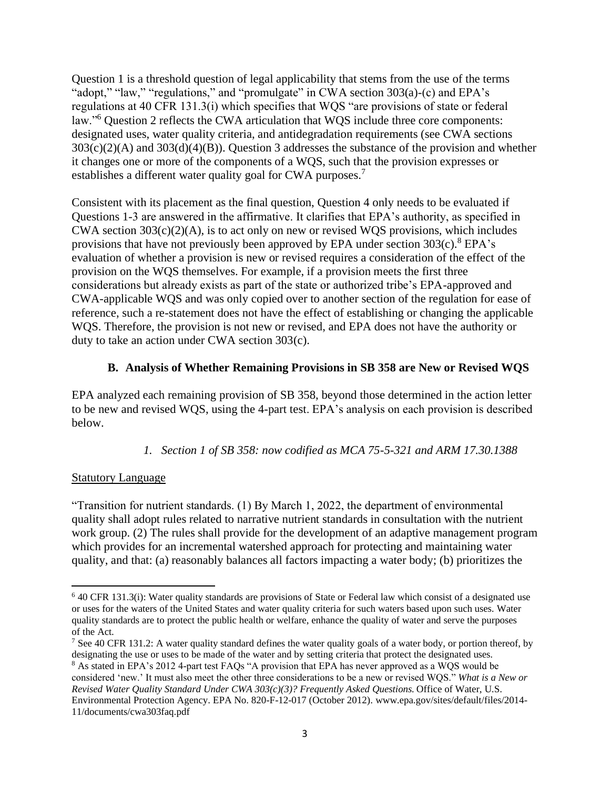Question 1 is a threshold question of legal applicability that stems from the use of the terms "adopt," "law," "regulations," and "promulgate" in CWA section 303(a)-(c) and EPA's regulations at 40 CFR 131.3(i) which specifies that WQS "are provisions of state or federal law."<sup>6</sup> Question 2 reflects the CWA articulation that WQS include three core components: designated uses, water quality criteria, and antidegradation requirements (see CWA sections 303(c)(2)(A) and 303(d)(4)(B)). Question 3 addresses the substance of the provision and whether it changes one or more of the components of a WQS, such that the provision expresses or establishes a different water quality goal for CWA purposes.<sup>7</sup>

Consistent with its placement as the final question, Question 4 only needs to be evaluated if Questions 1-3 are answered in the affirmative. It clarifies that EPA's authority, as specified in CWA section  $303(c)(2)(A)$ , is to act only on new or revised WQS provisions, which includes provisions that have not previously been approved by EPA under section  $303(c)$ .<sup>8</sup> EPA's evaluation of whether a provision is new or revised requires a consideration of the effect of the provision on the WQS themselves. For example, if a provision meets the first three considerations but already exists as part of the state or authorized tribe's EPA-approved and CWA-applicable WQS and was only copied over to another section of the regulation for ease of reference, such a re-statement does not have the effect of establishing or changing the applicable WQS. Therefore, the provision is not new or revised, and EPA does not have the authority or duty to take an action under CWA section 303(c).

## **B. Analysis of Whether Remaining Provisions in SB 358 are New or Revised WQS**

EPA analyzed each remaining provision of SB 358, beyond those determined in the action letter to be new and revised WQS, using the 4-part test. EPA's analysis on each provision is described below.

*1. Section 1 of SB 358: now codified as MCA 75-5-321 and ARM 17.30.1388*

## **Statutory Language**

"Transition for nutrient standards. (1) By March 1, 2022, the department of environmental quality shall adopt rules related to narrative nutrient standards in consultation with the nutrient work group. (2) The rules shall provide for the development of an adaptive management program which provides for an incremental watershed approach for protecting and maintaining water quality, and that: (a) reasonably balances all factors impacting a water body; (b) prioritizes the

 $6$  40 CFR 131.3(i): Water quality standards are provisions of [State](https://www.law.cornell.edu/definitions/index.php?width=840&height=800&iframe=true&def_id=02f3388cbddab8d1c8b68bc12f7066f2&term_occur=999&term_src=Title:40:Chapter:I:Subchapter:D:Part:131:Subpart:A:131.3) or Federal law which consist of a designated use or uses for the waters of the [United States](https://www.law.cornell.edu/definitions/index.php?width=840&height=800&iframe=true&def_id=dda4c2aefd0bd07e80aa2c88417ccf16&term_occur=999&term_src=Title:40:Chapter:I:Subchapter:D:Part:131:Subpart:A:131.3) and water quality [criteria](https://www.law.cornell.edu/definitions/index.php?width=840&height=800&iframe=true&def_id=d75ccced16cae306d8c5e9e07cf581ce&term_occur=999&term_src=Title:40:Chapter:I:Subchapter:D:Part:131:Subpart:A:131.3) for such waters based upon such uses. [Water](https://www.law.cornell.edu/definitions/index.php?width=840&height=800&iframe=true&def_id=ae2ebcdde021e189e65733b4d02aa0e9&term_occur=999&term_src=Title:40:Chapter:I:Subchapter:D:Part:131:Subpart:A:131.3)  [quality standards](https://www.law.cornell.edu/definitions/index.php?width=840&height=800&iframe=true&def_id=ae2ebcdde021e189e65733b4d02aa0e9&term_occur=999&term_src=Title:40:Chapter:I:Subchapter:D:Part:131:Subpart:A:131.3) are to protect the public health or welfare, enhance the quality of water and serve the purposes of [the Act.](https://www.law.cornell.edu/definitions/index.php?width=840&height=800&iframe=true&def_id=aaea981d193abe7105f53983a278a1e1&term_occur=999&term_src=Title:40:Chapter:I:Subchapter:D:Part:131:Subpart:A:131.3)

<sup>&</sup>lt;sup>7</sup> See 40 CFR 131.2: A water quality standard defines the water quality goals of a water body, or portion thereof, by designating the use or uses to be made of the water and by setting criteria that protect the designated uses.

<sup>8</sup> As stated in EPA's 2012 4-part test FAQs "A provision that EPA has never approved as a WQS would be considered 'new.' It must also meet the other three considerations to be a new or revised WQS." *What is a New or Revised Water Quality Standard Under CWA 303(c)(3)? Frequently Asked Questions.* Office of Water, U.S. Environmental Protection Agency. EPA No. 820-F-12-017 (October 2012). www.epa.gov/sites/default/files/2014- 11/documents/cwa303faq.pdf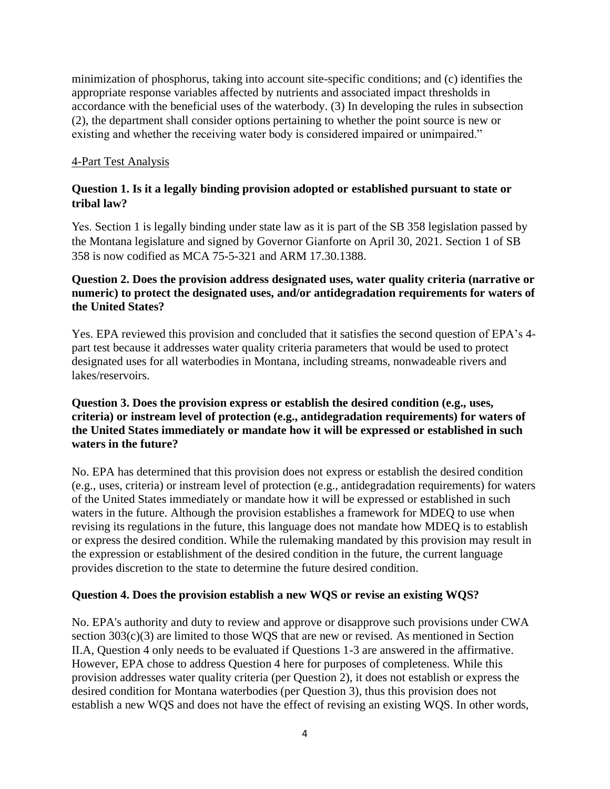minimization of phosphorus, taking into account site-specific conditions; and (c) identifies the appropriate response variables affected by nutrients and associated impact thresholds in accordance with the beneficial uses of the waterbody. (3) In developing the rules in subsection (2), the department shall consider options pertaining to whether the point source is new or existing and whether the receiving water body is considered impaired or unimpaired."

### 4-Part Test Analysis

## **Question 1. Is it a legally binding provision adopted or established pursuant to state or tribal law?**

Yes. Section 1 is legally binding under state law as it is part of the SB 358 legislation passed by the Montana legislature and signed by Governor Gianforte on April 30, 2021. Section 1 of SB 358 is now codified as MCA 75-5-321 and ARM 17.30.1388.

## **Question 2. Does the provision address designated uses, water quality criteria (narrative or numeric) to protect the designated uses, and/or antidegradation requirements for waters of the United States?**

Yes. EPA reviewed this provision and concluded that it satisfies the second question of EPA's 4 part test because it addresses water quality criteria parameters that would be used to protect designated uses for all waterbodies in Montana, including streams, nonwadeable rivers and lakes/reservoirs.

## **Question 3. Does the provision express or establish the desired condition (e.g., uses, criteria) or instream level of protection (e.g., antidegradation requirements) for waters of the United States immediately or mandate how it will be expressed or established in such waters in the future?**

No. EPA has determined that this provision does not express or establish the desired condition (e.g., uses, criteria) or instream level of protection (e.g., antidegradation requirements) for waters of the United States immediately or mandate how it will be expressed or established in such waters in the future. Although the provision establishes a framework for MDEQ to use when revising its regulations in the future, this language does not mandate how MDEQ is to establish or express the desired condition. While the rulemaking mandated by this provision may result in the expression or establishment of the desired condition in the future, the current language provides discretion to the state to determine the future desired condition.

### **Question 4. Does the provision establish a new WQS or revise an existing WQS?**

No. EPA's authority and duty to review and approve or disapprove such provisions under CWA section 303(c)(3) are limited to those WQS that are new or revised. As mentioned in Section II.A, Question 4 only needs to be evaluated if Questions 1-3 are answered in the affirmative. However, EPA chose to address Question 4 here for purposes of completeness. While this provision addresses water quality criteria (per Question 2), it does not establish or express the desired condition for Montana waterbodies (per Question 3), thus this provision does not establish a new WQS and does not have the effect of revising an existing WQS. In other words,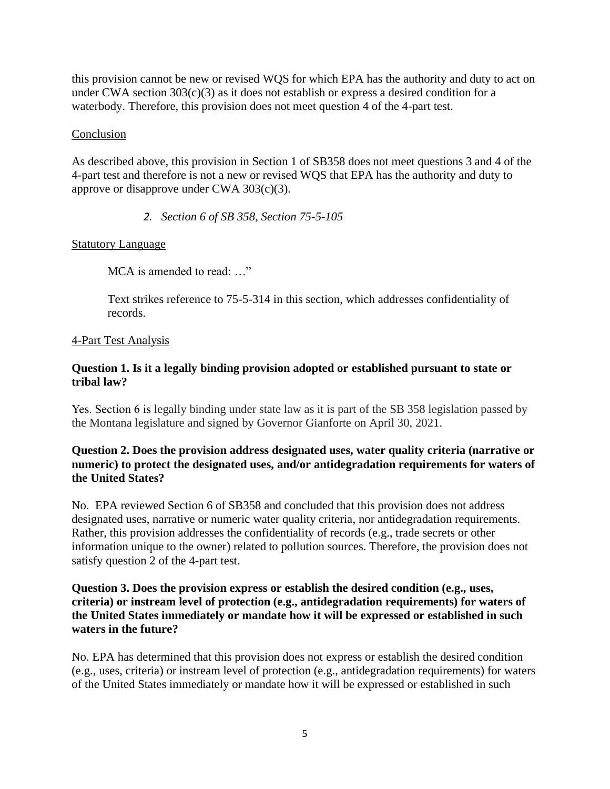this provision cannot be new or revised WQS for which EPA has the authority and duty to act on under CWA section  $303(c)(3)$  as it does not establish or express a desired condition for a waterbody. Therefore, this provision does not meet question 4 of the 4-part test.

### Conclusion

As described above, this provision in Section 1 of SB358 does not meet questions 3 and 4 of the 4-part test and therefore is not a new or revised WQS that EPA has the authority and duty to approve or disapprove under CWA 303(c)(3).

*2. Section 6 of SB 358, Section 75-5-105*

### Statutory Language

MCA is amended to read: …"

Text strikes reference to 75-5-314 in this section, which addresses confidentiality of records.

#### 4-Part Test Analysis

### **Question 1. Is it a legally binding provision adopted or established pursuant to state or tribal law?**

Yes. Section 6 is legally binding under state law as it is part of the SB 358 legislation passed by the Montana legislature and signed by Governor Gianforte on April 30, 2021.

## **Question 2. Does the provision address designated uses, water quality criteria (narrative or numeric) to protect the designated uses, and/or antidegradation requirements for waters of the United States?**

No. EPA reviewed Section 6 of SB358 and concluded that this provision does not address designated uses, narrative or numeric water quality criteria, nor antidegradation requirements. Rather, this provision addresses the confidentiality of records (e.g., trade secrets or other information unique to the owner) related to pollution sources. Therefore, the provision does not satisfy question 2 of the 4-part test.

### **Question 3. Does the provision express or establish the desired condition (e.g., uses, criteria) or instream level of protection (e.g., antidegradation requirements) for waters of the United States immediately or mandate how it will be expressed or established in such waters in the future?**

No. EPA has determined that this provision does not express or establish the desired condition (e.g., uses, criteria) or instream level of protection (e.g., antidegradation requirements) for waters of the United States immediately or mandate how it will be expressed or established in such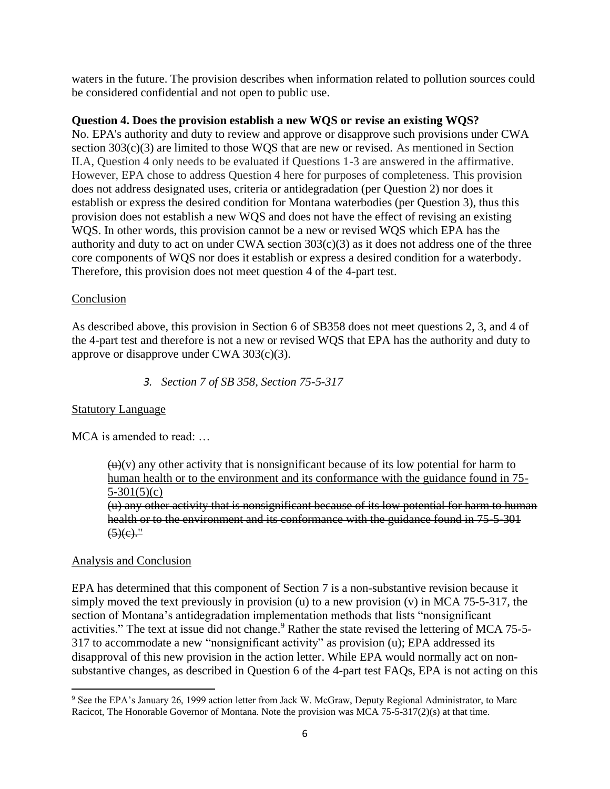waters in the future. The provision describes when information related to pollution sources could be considered confidential and not open to public use.

## **Question 4. Does the provision establish a new WQS or revise an existing WQS?**

No. EPA's authority and duty to review and approve or disapprove such provisions under CWA section 303(c)(3) are limited to those WQS that are new or revised. As mentioned in Section II.A, Question 4 only needs to be evaluated if Questions 1-3 are answered in the affirmative. However, EPA chose to address Question 4 here for purposes of completeness. This provision does not address designated uses, criteria or antidegradation (per Question 2) nor does it establish or express the desired condition for Montana waterbodies (per Question 3), thus this provision does not establish a new WQS and does not have the effect of revising an existing WQS. In other words, this provision cannot be a new or revised WQS which EPA has the authority and duty to act on under CWA section 303(c)(3) as it does not address one of the three core components of WQS nor does it establish or express a desired condition for a waterbody. Therefore, this provision does not meet question 4 of the 4-part test.

### Conclusion

As described above, this provision in Section 6 of SB358 does not meet questions 2, 3, and 4 of the 4-part test and therefore is not a new or revised WQS that EPA has the authority and duty to approve or disapprove under CWA 303(c)(3).

*3. Section 7 of SB 358, Section 75-5-317*

### Statutory Language

MCA is amended to read: …

 $(u)(v)$  any other activity that is nonsignificant because of its low potential for harm to human health or to the environment and its conformance with the guidance found in 75-  $5-301(5)(c)$ 

(u) any other activity that is nonsignificant because of its low potential for harm to human health or to the environment and its conformance with the guidance found in 75-5-301  $\left(5\right)(e)$ ."

### Analysis and Conclusion

EPA has determined that this component of Section 7 is a non-substantive revision because it simply moved the text previously in provision (u) to a new provision (v) in MCA 75-5-317, the section of Montana's antidegradation implementation methods that lists "nonsignificant activities." The text at issue did not change.<sup>9</sup> Rather the state revised the lettering of MCA 75-5-317 to accommodate a new "nonsignificant activity" as provision (u); EPA addressed its disapproval of this new provision in the action letter. While EPA would normally act on nonsubstantive changes, as described in Question 6 of the 4-part test FAQs, EPA is not acting on this

<sup>&</sup>lt;sup>9</sup> See the EPA's January 26, 1999 action letter from Jack W. McGraw, Deputy Regional Administrator, to Marc Racicot, The Honorable Governor of Montana. Note the provision was MCA 75-5-317(2)(s) at that time.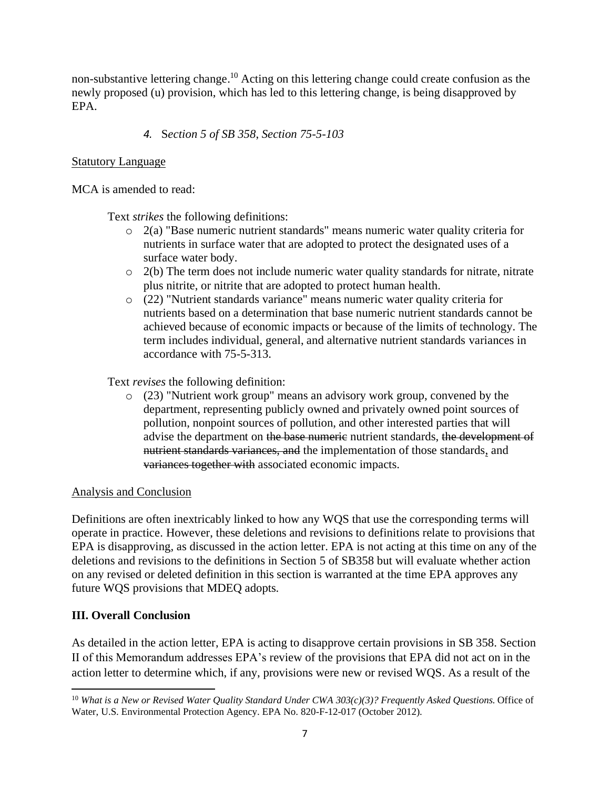non-substantive lettering change.<sup>10</sup> Acting on this lettering change could create confusion as the newly proposed (u) provision, which has led to this lettering change, is being disapproved by EPA.

## *4.* S*ection 5 of SB 358*, *Section 75-5-103*

## Statutory Language

MCA is amended to read:

Text *strikes* the following definitions:

- o 2(a) "Base numeric nutrient standards" means numeric water quality criteria for nutrients in surface water that are adopted to protect the designated uses of a surface water body.
- $\circ$  2(b) The term does not include numeric water quality standards for nitrate, nitrate plus nitrite, or nitrite that are adopted to protect human health.
- o (22) "Nutrient standards variance" means numeric water quality criteria for nutrients based on a determination that base numeric nutrient standards cannot be achieved because of economic impacts or because of the limits of technology. The term includes individual, general, and alternative nutrient standards variances in accordance with 75-5-313.

Text *revises* the following definition:

o (23) "Nutrient work group" means an advisory work group, convened by the department, representing publicly owned and privately owned point sources of pollution, nonpoint sources of pollution, and other interested parties that will advise the department on the base numeric nutrient standards, the development of nutrient standards variances, and the implementation of those standards, and variances together with associated economic impacts.

## Analysis and Conclusion

Definitions are often inextricably linked to how any WQS that use the corresponding terms will operate in practice. However, these deletions and revisions to definitions relate to provisions that EPA is disapproving, as discussed in the action letter. EPA is not acting at this time on any of the deletions and revisions to the definitions in Section 5 of SB358 but will evaluate whether action on any revised or deleted definition in this section is warranted at the time EPA approves any future WQS provisions that MDEQ adopts.

## **III. Overall Conclusion**

As detailed in the action letter, EPA is acting to disapprove certain provisions in SB 358. Section II of this Memorandum addresses EPA's review of the provisions that EPA did not act on in the action letter to determine which, if any, provisions were new or revised WQS. As a result of the

<sup>10</sup> *What is a New or Revised Water Quality Standard Under CWA 303(c)(3)? Frequently Asked Questions.* Office of Water, U.S. Environmental Protection Agency. EPA No. 820-F-12-017 (October 2012).